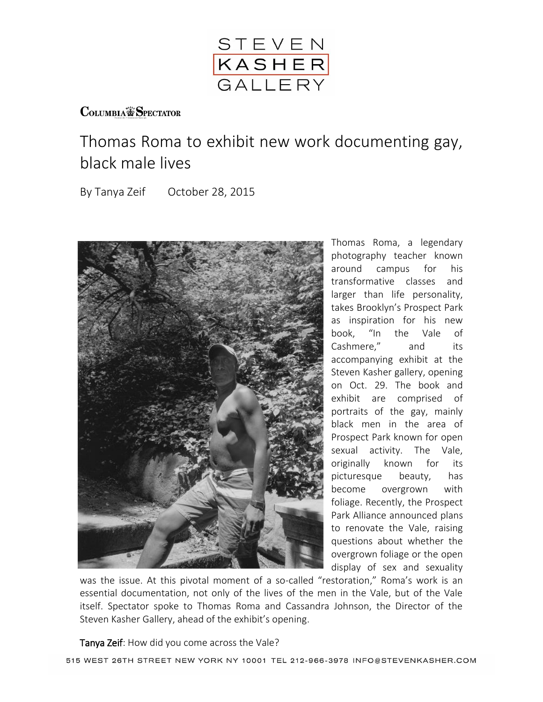

## **COLUMBIA SPECTATOR**

## Thomas Roma to exhibit new work documenting gay, black male lives

By Tanya Zeif October 28, 2015



Thomas Roma, a legendary photography teacher known around campus for his transformative classes and larger than life personality, takes Brooklyn's Prospect Park as inspiration for his new book, "In the Vale of Cashmere," and its accompanying exhibit at the Steven Kasher gallery, opening on Oct. 29. The book and exhibit are comprised of portraits of the gay, mainly black men in the area of Prospect Park known for open sexual activity. The Vale, originally known for its picturesque beauty, has become overgrown with foliage. Recently, the Prospect Park Alliance announced plans to renovate the Vale, raising questions about whether the overgrown foliage or the open display of sex and sexuality

was the issue. At this pivotal moment of a so-called "restoration," Roma's work is an essential documentation, not only of the lives of the men in the Vale, but of the Vale itself. Spectator spoke to Thomas Roma and Cassandra Johnson, the Director of the Steven Kasher Gallery, ahead of the exhibit's opening.

## Tanya Zeif: How did you come across the Vale?

515 WEST 26TH STREET NEW YORK NY 10001 TEL 212-966-3978 INFO@STEVENKASHER.COM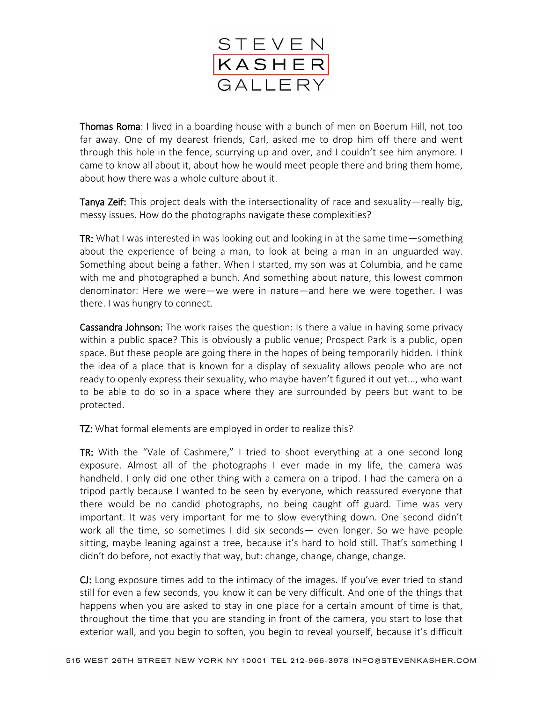

Thomas Roma: I lived in a boarding house with a bunch of men on Boerum Hill, not too far away. One of my dearest friends, Carl, asked me to drop him off there and went through this hole in the fence, scurrying up and over, and I couldn't see him anymore. I came to know all about it, about how he would meet people there and bring them home, about how there was a whole culture about it.

Tanya Zeif: This project deals with the intersectionality of race and sexuality—really big, messy issues. How do the photographs navigate these complexities?

TR: What I was interested in was looking out and looking in at the same time—something about the experience of being a man, to look at being a man in an unguarded way. Something about being a father. When I started, my son was at Columbia, and he came with me and photographed a bunch. And something about nature, this lowest common denominator: Here we were—we were in nature—and here we were together. I was there. I was hungry to connect.

Cassandra Johnson: The work raises the question: Is there a value in having some privacy within a public space? This is obviously a public venue; Prospect Park is a public, open space. But these people are going there in the hopes of being temporarily hidden. I think the idea of a place that is known for a display of sexuality allows people who are not ready to openly express their sexuality, who maybe haven't figured it out yet..., who want to be able to do so in a space where they are surrounded by peers but want to be protected.

TZ: What formal elements are employed in order to realize this?

TR: With the "Vale of Cashmere," I tried to shoot everything at a one second long exposure. Almost all of the photographs I ever made in my life, the camera was handheld. I only did one other thing with a camera on a tripod. I had the camera on a tripod partly because I wanted to be seen by everyone, which reassured everyone that there would be no candid photographs, no being caught off guard. Time was very important. It was very important for me to slow everything down. One second didn't work all the time, so sometimes I did six seconds— even longer. So we have people sitting, maybe leaning against a tree, because it's hard to hold still. That's something I didn't do before, not exactly that way, but: change, change, change, change.

CJ: Long exposure times add to the intimacy of the images. If you've ever tried to stand still for even a few seconds, you know it can be very difficult. And one of the things that happens when you are asked to stay in one place for a certain amount of time is that, throughout the time that you are standing in front of the camera, you start to lose that exterior wall, and you begin to soften, you begin to reveal yourself, because it's difficult